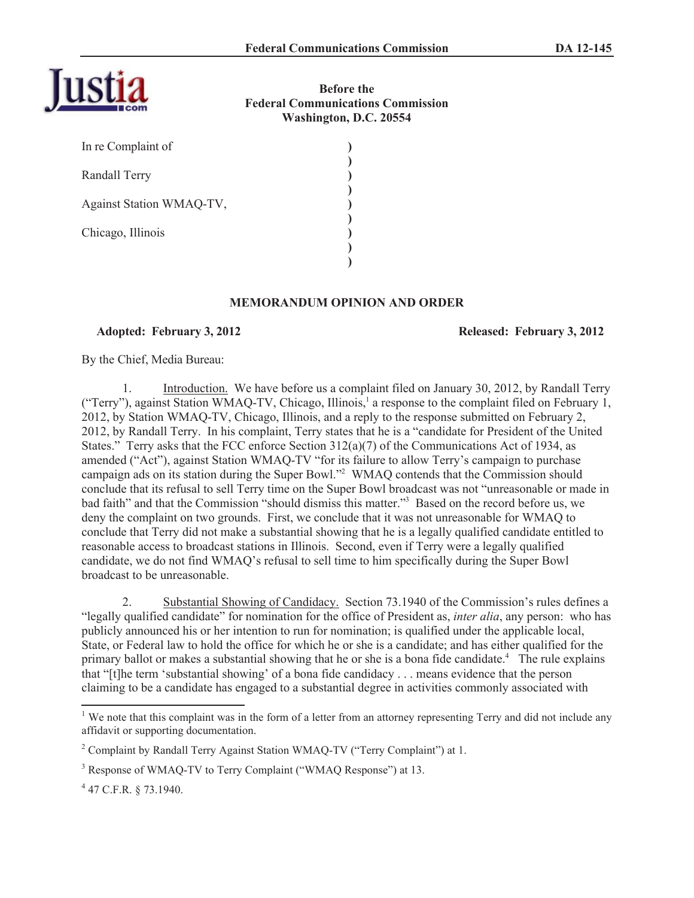

**Before the Federal Communications Commission Washington, D.C. 20554**

| In re Complaint of       |  |
|--------------------------|--|
| Randall Terry            |  |
| Against Station WMAQ-TV, |  |
| Chicago, Illinois        |  |
|                          |  |

## **MEMORANDUM OPINION AND ORDER**

## **Adopted: February 3, 2012 Released: February 3, 2012**

By the Chief, Media Bureau:

1. Introduction. We have before us a complaint filed on January 30, 2012, by Randall Terry ("Terry"), against Station WMAQ-TV, Chicago, Illinois,<sup>1</sup> a response to the complaint filed on February 1, 2012, by Station WMAQ-TV, Chicago, Illinois, and a reply to the response submitted on February 2, 2012, by Randall Terry. In his complaint, Terry states that he is a "candidate for President of the United States." Terry asks that the FCC enforce Section  $312(a)(7)$  of the Communications Act of 1934, as amended ("Act"), against Station WMAQ-TV "for its failure to allow Terry's campaign to purchase campaign ads on its station during the Super Bowl."<sup>2</sup> WMAQ contends that the Commission should conclude that its refusal to sell Terry time on the Super Bowl broadcast was not "unreasonable or made in bad faith" and that the Commission "should dismiss this matter."<sup>3</sup> Based on the record before us, we deny the complaint on two grounds. First, we conclude that it was not unreasonable for WMAQ to conclude that Terry did not make a substantial showing that he is a legally qualified candidate entitled to reasonable access to broadcast stations in Illinois. Second, even if Terry were a legally qualified candidate, we do not find WMAQ's refusal to sell time to him specifically during the Super Bowl broadcast to be unreasonable.

2. Substantial Showing of Candidacy. Section 73.1940 of the Commission's rules defines a "legally qualified candidate" for nomination for the office of President as, *inter alia*, any person: who has publicly announced his or her intention to run for nomination; is qualified under the applicable local, State, or Federal law to hold the office for which he or she is a candidate; and has either qualified for the primary ballot or makes a substantial showing that he or she is a bona fide candidate.<sup>4</sup> The rule explains that "[t]he term 'substantial showing' of a bona fide candidacy . . . means evidence that the person claiming to be a candidate has engaged to a substantial degree in activities commonly associated with

 $\overline{a}$ 

 $1$  We note that this complaint was in the form of a letter from an attorney representing Terry and did not include any affidavit or supporting documentation.

<sup>&</sup>lt;sup>2</sup> Complaint by Randall Terry Against Station WMAQ-TV ("Terry Complaint") at 1.

<sup>&</sup>lt;sup>3</sup> Response of WMAQ-TV to Terry Complaint ("WMAQ Response") at 13.

 $4$  47 C.F.R. § 73.1940.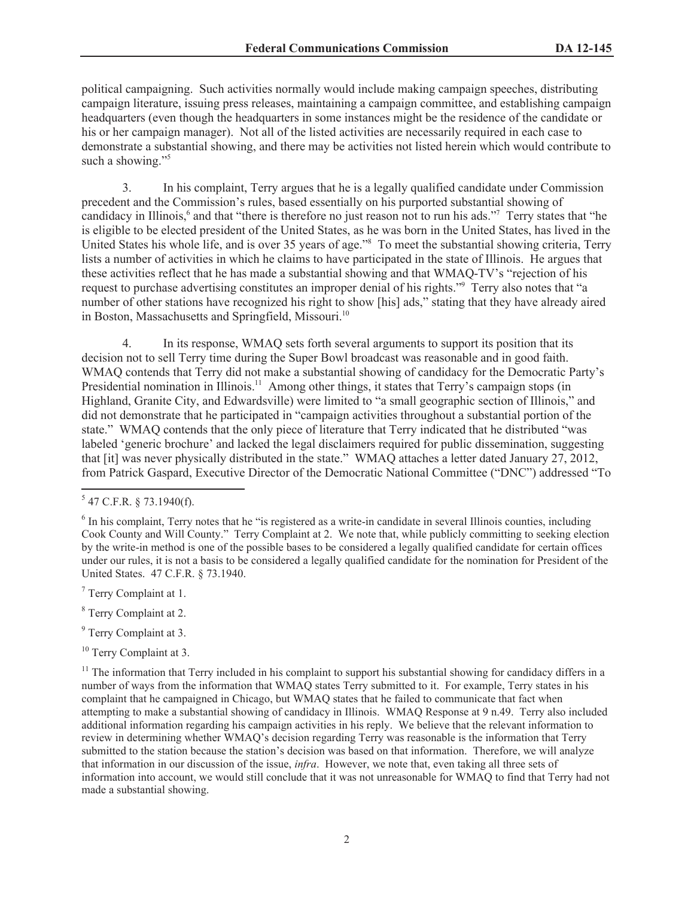political campaigning. Such activities normally would include making campaign speeches, distributing campaign literature, issuing press releases, maintaining a campaign committee, and establishing campaign headquarters (even though the headquarters in some instances might be the residence of the candidate or his or her campaign manager). Not all of the listed activities are necessarily required in each case to demonstrate a substantial showing, and there may be activities not listed herein which would contribute to such a showing."<sup>5</sup>

3. In his complaint, Terry argues that he is a legally qualified candidate under Commission precedent and the Commission's rules, based essentially on his purported substantial showing of candidacy in Illinois,<sup>6</sup> and that "there is therefore no just reason not to run his ads."<sup>7</sup> Terry states that "he is eligible to be elected president of the United States, as he was born in the United States, has lived in the United States his whole life, and is over 35 years of age."<sup>8</sup> To meet the substantial showing criteria, Terry lists a number of activities in which he claims to have participated in the state of Illinois. He argues that these activities reflect that he has made a substantial showing and that WMAQ-TV's "rejection of his request to purchase advertising constitutes an improper denial of his rights."<sup>9</sup> Terry also notes that "a number of other stations have recognized his right to show [his] ads," stating that they have already aired in Boston, Massachusetts and Springfield, Missouri.<sup>10</sup>

4. In its response, WMAQ sets forth several arguments to support its position that its decision not to sell Terry time during the Super Bowl broadcast was reasonable and in good faith. WMAQ contends that Terry did not make a substantial showing of candidacy for the Democratic Party's Presidential nomination in Illinois.<sup>11</sup> Among other things, it states that Terry's campaign stops (in Highland, Granite City, and Edwardsville) were limited to "a small geographic section of Illinois," and did not demonstrate that he participated in "campaign activities throughout a substantial portion of the state." WMAQ contends that the only piece of literature that Terry indicated that he distributed "was labeled 'generic brochure' and lacked the legal disclaimers required for public dissemination, suggesting that [it] was never physically distributed in the state." WMAQ attaches a letter dated January 27, 2012, from Patrick Gaspard, Executive Director of the Democratic National Committee ("DNC") addressed "To

 $\overline{a}$ 

- <sup>8</sup> Terry Complaint at 2.
- <sup>9</sup> Terry Complaint at 3.
- <sup>10</sup> Terry Complaint at 3.

 $5$  47 C.F.R. § 73.1940(f).

<sup>&</sup>lt;sup>6</sup> In his complaint, Terry notes that he "is registered as a write-in candidate in several Illinois counties, including Cook County and Will County." Terry Complaint at 2. We note that, while publicly committing to seeking election by the write-in method is one of the possible bases to be considered a legally qualified candidate for certain offices under our rules, it is not a basis to be considered a legally qualified candidate for the nomination for President of the United States. 47 C.F.R. § 73.1940.

<sup>7</sup> Terry Complaint at 1.

<sup>&</sup>lt;sup>11</sup> The information that Terry included in his complaint to support his substantial showing for candidacy differs in a number of ways from the information that WMAQ states Terry submitted to it. For example, Terry states in his complaint that he campaigned in Chicago, but WMAQ states that he failed to communicate that fact when attempting to make a substantial showing of candidacy in Illinois. WMAQ Response at 9 n.49. Terry also included additional information regarding his campaign activities in his reply. We believe that the relevant information to review in determining whether WMAQ's decision regarding Terry was reasonable is the information that Terry submitted to the station because the station's decision was based on that information. Therefore, we will analyze that information in our discussion of the issue, *infra*. However, we note that, even taking all three sets of information into account, we would still conclude that it was not unreasonable for WMAQ to find that Terry had not made a substantial showing.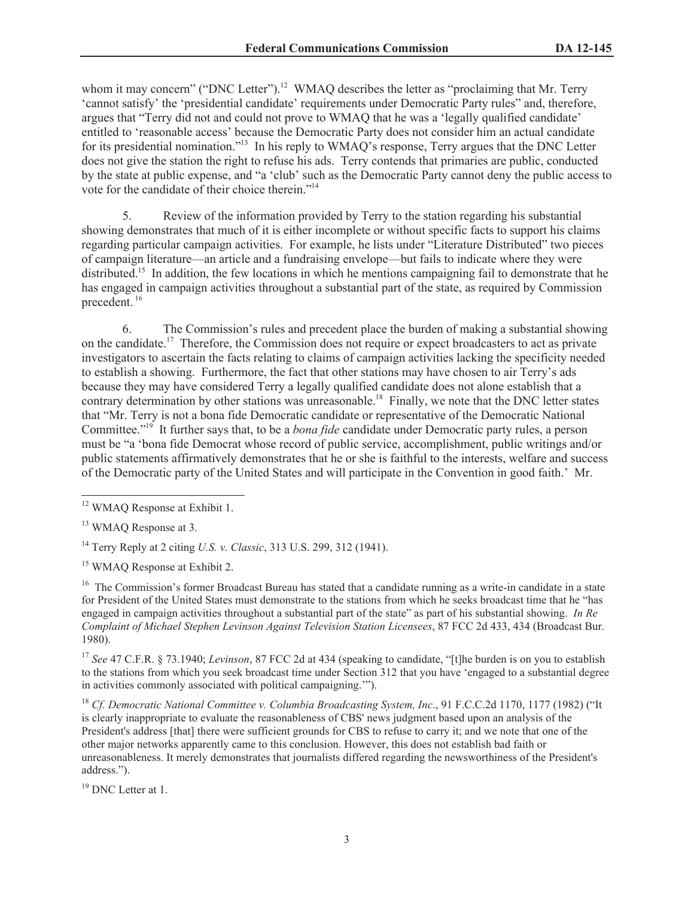whom it may concern" ("DNC Letter").<sup>12</sup> WMAQ describes the letter as "proclaiming that Mr. Terry 'cannot satisfy' the 'presidential candidate' requirements under Democratic Party rules" and, therefore, argues that "Terry did not and could not prove to WMAQ that he was a 'legally qualified candidate' entitled to 'reasonable access' because the Democratic Party does not consider him an actual candidate for its presidential nomination."<sup>13</sup> In his reply to WMAQ's response, Terry argues that the DNC Letter does not give the station the right to refuse his ads. Terry contends that primaries are public, conducted by the state at public expense, and "a 'club' such as the Democratic Party cannot deny the public access to vote for the candidate of their choice therein."<sup>14</sup>

5. Review of the information provided by Terry to the station regarding his substantial showing demonstrates that much of it is either incomplete or without specific facts to support his claims regarding particular campaign activities. For example, he lists under "Literature Distributed" two pieces of campaign literature—an article and a fundraising envelope—but fails to indicate where they were distributed.<sup>15</sup> In addition, the few locations in which he mentions campaigning fail to demonstrate that he has engaged in campaign activities throughout a substantial part of the state, as required by Commission precedent.<sup>16</sup>

6. The Commission's rules and precedent place the burden of making a substantial showing on the candidate.<sup>17</sup> Therefore, the Commission does not require or expect broadcasters to act as private investigators to ascertain the facts relating to claims of campaign activities lacking the specificity needed to establish a showing. Furthermore, the fact that other stations may have chosen to air Terry's ads because they may have considered Terry a legally qualified candidate does not alone establish that a contrary determination by other stations was unreasonable.<sup>18</sup> Finally, we note that the DNC letter states that "Mr. Terry is not a bona fide Democratic candidate or representative of the Democratic National Committee."<sup>19</sup> It further says that, to be a *bona fide* candidate under Democratic party rules, a person must be "a 'bona fide Democrat whose record of public service, accomplishment, public writings and/or public statements affirmatively demonstrates that he or she is faithful to the interests, welfare and success of the Democratic party of the United States and will participate in the Convention in good faith.' Mr.

<sup>14</sup> Terry Reply at 2 citing *U.S. v. Classic*, 313 U.S. 299, 312 (1941).

<sup>15</sup> WMAQ Response at Exhibit 2.

<sup>16</sup> The Commission's former Broadcast Bureau has stated that a candidate running as a write-in candidate in a state for President of the United States must demonstrate to the stations from which he seeks broadcast time that he "has engaged in campaign activities throughout a substantial part of the state" as part of his substantial showing. *In Re Complaint of Michael Stephen Levinson Against Television Station Licensees*, 87 FCC 2d 433, 434 (Broadcast Bur. 1980).

<sup>17</sup> *See* 47 C.F.R. § 73.1940; *Levinson*, 87 FCC 2d at 434 (speaking to candidate, "[t]he burden is on you to establish to the stations from which you seek broadcast time under Section 312 that you have 'engaged to a substantial degree in activities commonly associated with political campaigning.'").

<sup>18</sup> *Cf. Democratic National Committee v. Columbia Broadcasting System, Inc*., 91 F.C.C.2d 1170, 1177 (1982) ("It is clearly inappropriate to evaluate the reasonableness of CBS' news judgment based upon an analysis of the President's address [that] there were sufficient grounds for CBS to refuse to carry it; and we note that one of the other major networks apparently came to this conclusion. However, this does not establish bad faith or unreasonableness. It merely demonstrates that journalists differed regarding the newsworthiness of the President's address.").

<sup>19</sup> DNC Letter at 1.

 $\overline{a}$ <sup>12</sup> WMAQ Response at Exhibit 1.

<sup>&</sup>lt;sup>13</sup> WMAO Response at 3.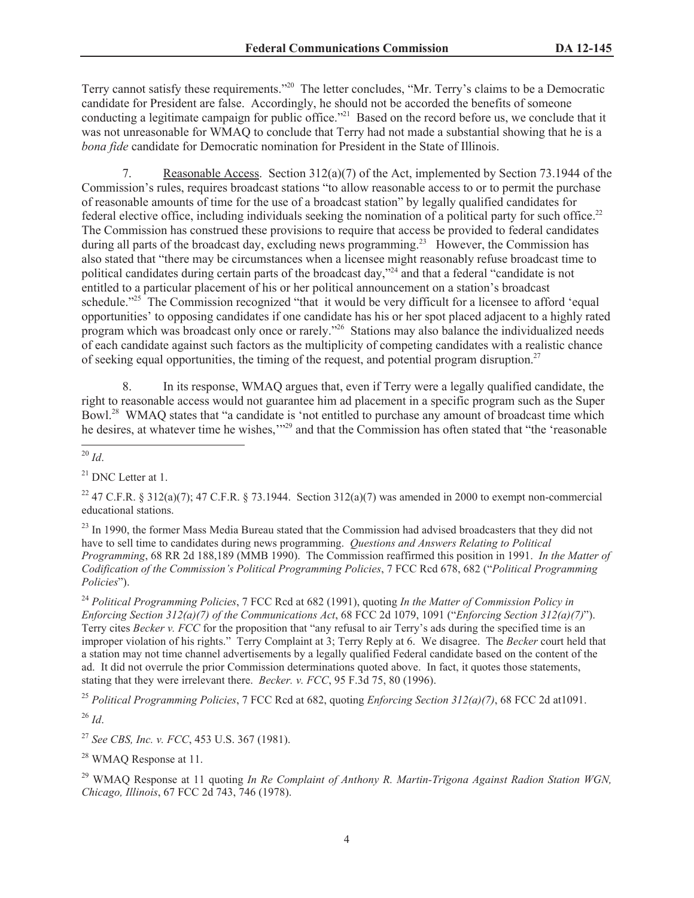Terry cannot satisfy these requirements."<sup>20</sup> The letter concludes, "Mr. Terry's claims to be a Democratic candidate for President are false. Accordingly, he should not be accorded the benefits of someone conducting a legitimate campaign for public office."<sup>21</sup> Based on the record before us, we conclude that it was not unreasonable for WMAQ to conclude that Terry had not made a substantial showing that he is a *bona fide* candidate for Democratic nomination for President in the State of Illinois.

7. Reasonable Access. Section 312(a)(7) of the Act, implemented by Section 73.1944 of the Commission's rules, requires broadcast stations "to allow reasonable access to or to permit the purchase of reasonable amounts of time for the use of a broadcast station" by legally qualified candidates for federal elective office, including individuals seeking the nomination of a political party for such office.<sup>22</sup> The Commission has construed these provisions to require that access be provided to federal candidates during all parts of the broadcast day, excluding news programming.<sup>23</sup> However, the Commission has also stated that "there may be circumstances when a licensee might reasonably refuse broadcast time to political candidates during certain parts of the broadcast day,"<sup>24</sup> and that a federal "candidate is not entitled to a particular placement of his or her political announcement on a station's broadcast schedule."<sup>25</sup> The Commission recognized "that it would be very difficult for a licensee to afford 'equal opportunities' to opposing candidates if one candidate has his or her spot placed adjacent to a highly rated program which was broadcast only once or rarely."<sup>26</sup> Stations may also balance the individualized needs of each candidate against such factors as the multiplicity of competing candidates with a realistic chance of seeking equal opportunities, the timing of the request, and potential program disruption.<sup>27</sup>

8. In its response, WMAQ argues that, even if Terry were a legally qualified candidate, the right to reasonable access would not guarantee him ad placement in a specific program such as the Super Bowl.<sup>28</sup> WMAQ states that "a candidate is 'not entitled to purchase any amount of broadcast time which he desires, at whatever time he wishes,'"<sup>29</sup> and that the Commission has often stated that "the 'reasonable'

<sup>22</sup> 47 C.F.R. § 312(a)(7); 47 C.F.R. § 73.1944. Section 312(a)(7) was amended in 2000 to exempt non-commercial educational stations.

<sup>23</sup> In 1990, the former Mass Media Bureau stated that the Commission had advised broadcasters that they did not have to sell time to candidates during news programming. *Questions and Answers Relating to Political Programming*, 68 RR 2d 188,189 (MMB 1990). The Commission reaffirmed this position in 1991. *In the Matter of Codification of the Commission's Political Programming Policies*, 7 FCC Rcd 678, 682 ("*Political Programming Policies*").

<sup>24</sup> *Political Programming Policies*, 7 FCC Rcd at 682 (1991), quoting *In the Matter of Commission Policy in Enforcing Section 312(a)(7) of the Communications Act*, 68 FCC 2d 1079, 1091 ("*Enforcing Section 312(a)(7)*"). Terry cites *Becker v. FCC* for the proposition that "any refusal to air Terry's ads during the specified time is an improper violation of his rights." Terry Complaint at 3; Terry Reply at 6. We disagree. The *Becker* court held that a station may not time channel advertisements by a legally qualified Federal candidate based on the content of the ad. It did not overrule the prior Commission determinations quoted above. In fact, it quotes those statements, stating that they were irrelevant there. *Becker. v. FCC*, 95 F.3d 75, 80 (1996).

<sup>25</sup> *Political Programming Policies*, 7 FCC Rcd at 682, quoting *Enforcing Section 312(a)(7)*, 68 FCC 2d at1091.

<sup>26</sup> *Id*.

<sup>27</sup> *See CBS, Inc. v. FCC*, 453 U.S. 367 (1981).

 $\overline{a}$ 

<sup>28</sup> WMAQ Response at 11.

<sup>29</sup> WMAQ Response at 11 quoting *In Re Complaint of Anthony R. Martin-Trigona Against Radion Station WGN, Chicago, Illinois*, 67 FCC 2d 743, 746 (1978).

<sup>20</sup> *Id*.

 $21$  DNC Letter at 1.